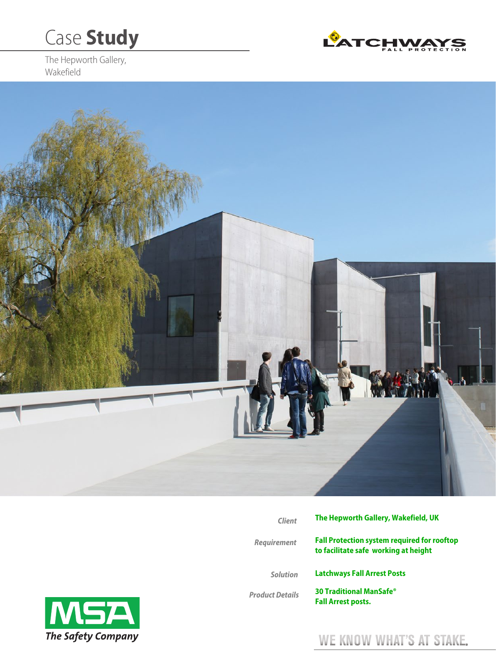# Case **Study**

The Hepworth Gallery, Wakefield





| <b>Client</b>          | The Hepworth Gallery, Wakefield, UK                                                        |
|------------------------|--------------------------------------------------------------------------------------------|
| <b>Requirement</b>     | <b>Fall Protection system required for rooftop</b><br>to facilitate safe working at height |
| <b>Solution</b>        | <b>Latchways Fall Arrest Posts</b>                                                         |
| <b>Product Details</b> | <b>30 Traditional ManSafe<sup>®</sup></b><br><b>Fall Arrest posts.</b>                     |



# WE KNOW WHAT'S AT STAKE.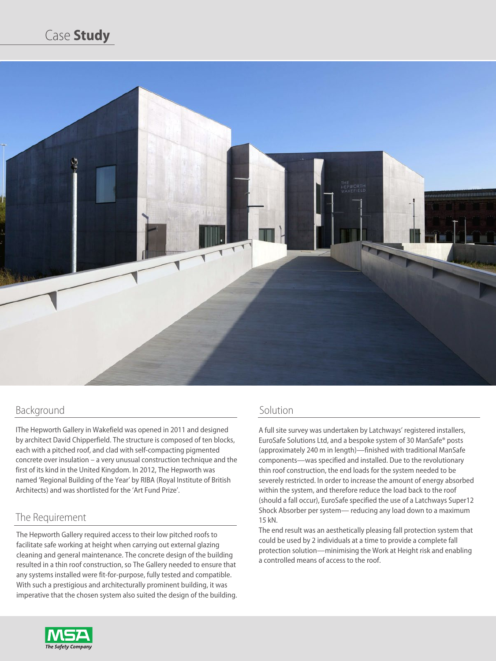

# Background

IThe Hepworth Gallery in Wakefield was opened in 2011 and designed by architect David Chipperfield. The structure is composed of ten blocks, each with a pitched roof, and clad with self-compacting pigmented concrete over insulation – a very unusual construction technique and the first of its kind in the United Kingdom. In 2012, The Hepworth was named 'Regional Building of the Year' by RIBA (Royal Institute of British Architects) and was shortlisted for the 'Art Fund Prize'.

### The Requirement

The Hepworth Gallery required access to their low pitched roofs to facilitate safe working at height when carrying out external glazing cleaning and general maintenance. The concrete design of the building resulted in a thin roof construction, so The Gallery needed to ensure that any systems installed were fit-for-purpose, fully tested and compatible. With such a prestigious and architecturally prominent building, it was imperative that the chosen system also suited the design of the building.

## Solution

A full site survey was undertaken by Latchways' registered installers, EuroSafe Solutions Ltd, and a bespoke system of 30 ManSafe® posts (approximately 240 m in length)—finished with traditional ManSafe components—was specified and installed. Due to the revolutionary thin roof construction, the end loads for the system needed to be severely restricted. In order to increase the amount of energy absorbed within the system, and therefore reduce the load back to the roof (should a fall occur), EuroSafe specified the use of a Latchways Super12 Shock Absorber per system— reducing any load down to a maximum 15 kN.

The end result was an aesthetically pleasing fall protection system that could be used by 2 individuals at a time to provide a complete fall protection solution—minimising the Work at Height risk and enabling a controlled means of access to the roof.

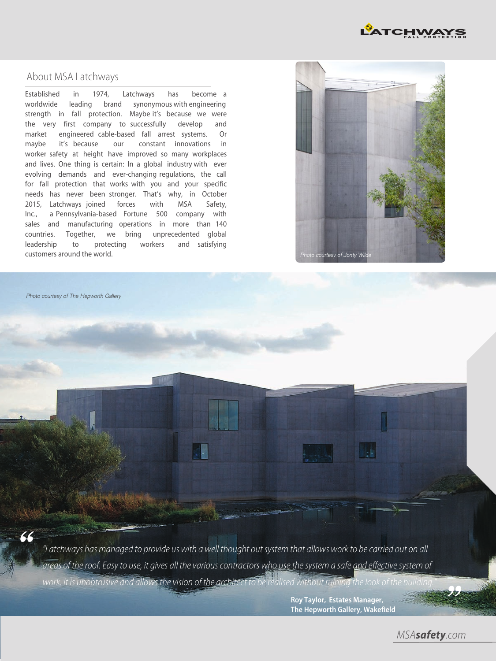

#### About MSA Latchways

Established in 1974, Latchways has become a worldwide leading brand synonymous with engineering strength in fall protection. Maybe it's because we were the very first company to successfully develop and market engineered cable-based fall arrest systems. Or maybe it's because our constant innovations in worker safety at height have improved so many workplaces and lives. One thing is certain: In a global industry with ever evolving demands and ever-changing regulations, the call for fall protection that works with you and your specific needs has never been stronger. That's why, in October 2015, Latchways joined forces with MSA Safety, Inc., a Pennsylvania-based Fortune 500 company with sales and manufacturing operations in more than 140 countries. Together, we bring unprecedented global leadership to protecting workers and satisfying customers around the world.



Photo courtesy of The Hepworth Gallery

66

"Latchways has managed to provide us with a well thought out system that allows work to be carried out on all areas of the roof. Easy to use, it gives all the various contractors who use the system a safe and effective system of work. It is unobtrusive and allows the vision of the architect to be realised without ruining the look of the building

> **Roy Taylor, Estates Manager, The Hepworth Gallery, Wakefield**

> > MSA*safety*.com

''